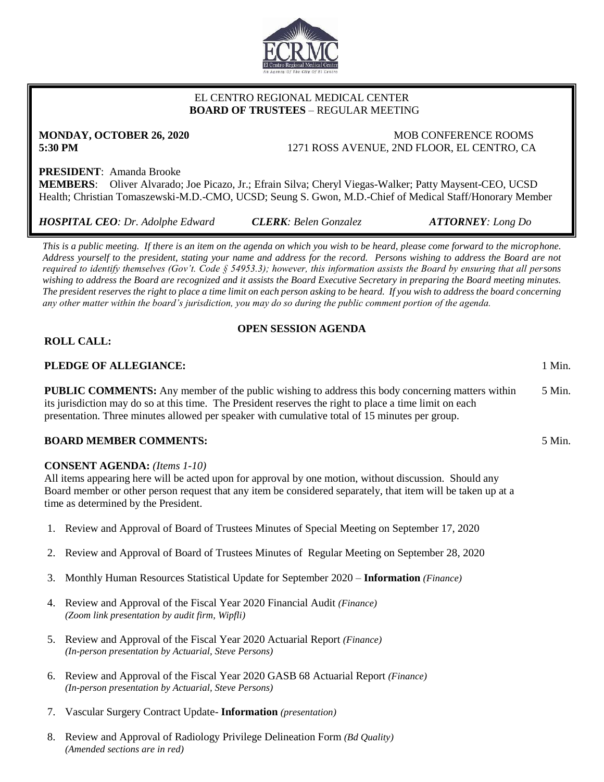

# EL CENTRO REGIONAL MEDICAL CENTER  **BOARD OF TRUSTEES** – REGULAR MEETING

**MONDAY, OCTOBER 26, 2020** MOB CONFERENCE ROOMS **5:30 PM** 1271 ROSS AVENUE, 2ND FLOOR, EL CENTRO, CA

# **PRESIDENT**: Amanda Brooke

**MEMBERS**: Oliver Alvarado; Joe Picazo, Jr.; Efrain Silva; Cheryl Viegas-Walker; Patty Maysent-CEO, UCSD Health; Christian Tomaszewski-M.D.-CMO, UCSD; Seung S. Gwon, M.D.-Chief of Medical Staff/Honorary Member

*HOSPITAL CEO: Dr. Adolphe Edward CLERK: Belen Gonzalez ATTORNEY: Long Do*

*This is a public meeting. If there is an item on the agenda on which you wish to be heard, please come forward to the microphone. Address yourself to the president, stating your name and address for the record. Persons wishing to address the Board are not required to identify themselves (Gov't. Code § 54953.3); however, this information assists the Board by ensuring that all persons wishing to address the Board are recognized and it assists the Board Executive Secretary in preparing the Board meeting minutes. The president reserves the right to place a time limit on each person asking to be heard. If you wish to address the board concerning any other matter within the board's jurisdiction, you may do so during the public comment portion of the agenda.*

# **OPEN SESSION AGENDA**

# **ROLL CALL:**

# **PLEDGE OF ALLEGIANCE:** 1 Min.

**PUBLIC COMMENTS:** Any member of the public wishing to address this body concerning matters within its jurisdiction may do so at this time. The President reserves the right to place a time limit on each presentation. Three minutes allowed per speaker with cumulative total of 15 minutes per group. 5 Min.

# **BOARD MEMBER COMMENTS:** 5 Min.

### **CONSENT AGENDA:** *(Items 1-10)*

All items appearing here will be acted upon for approval by one motion, without discussion. Should any Board member or other person request that any item be considered separately, that item will be taken up at a time as determined by the President.

- 1. Review and Approval of Board of Trustees Minutes of Special Meeting on September 17, 2020
- 2. Review and Approval of Board of Trustees Minutes of Regular Meeting on September 28, 2020
- 3. Monthly Human Resources Statistical Update for September 2020 **Information** *(Finance)*
- 4. Review and Approval of the Fiscal Year 2020 Financial Audit *(Finance) (Zoom link presentation by audit firm, Wipfli)*
- 5. Review and Approval of the Fiscal Year 2020 Actuarial Report *(Finance) (In-person presentation by Actuarial, Steve Persons)*
- 6. Review and Approval of the Fiscal Year 2020 GASB 68 Actuarial Report *(Finance) (In-person presentation by Actuarial, Steve Persons)*
- 7. Vascular Surgery Contract Update- **Information** *(presentation)*
- 8. Review and Approval of Radiology Privilege Delineation Form *(Bd Quality) (Amended sections are in red)*